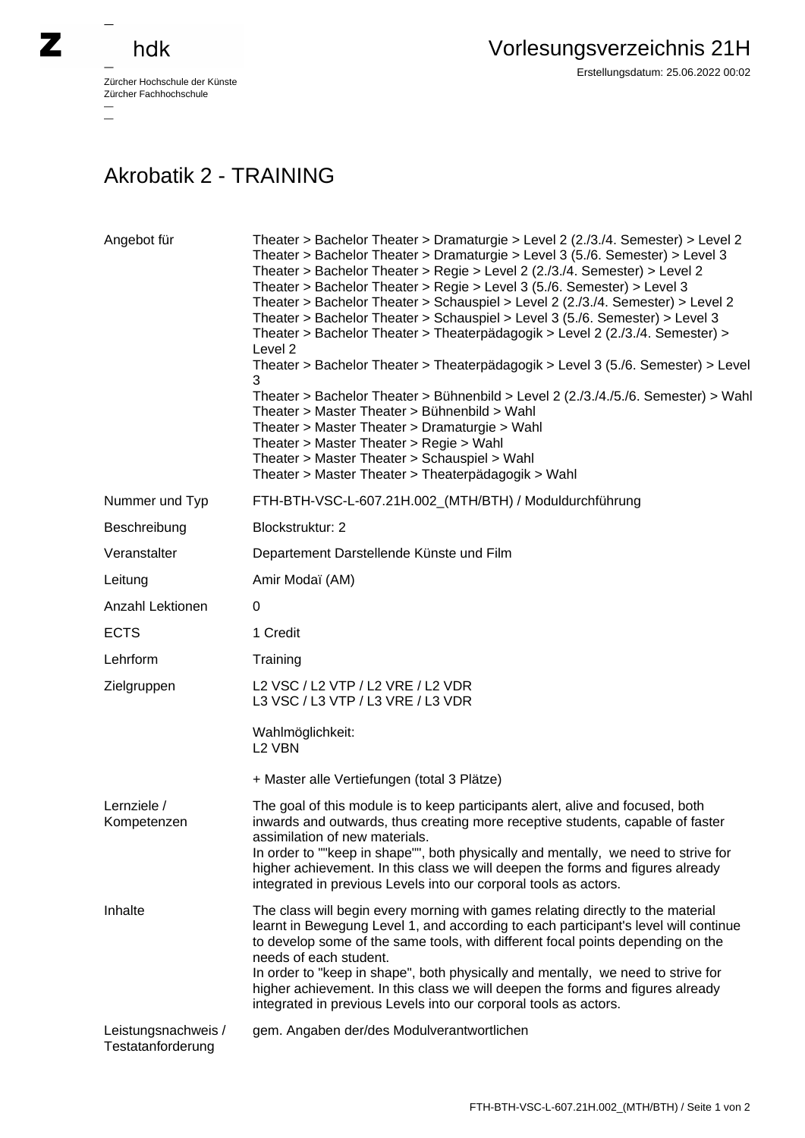## hdk

—

 $\equiv$ 

Zürcher Hochschule der Künste Zürcher Fachhochschule —

## Akrobatik 2 - TRAINING

| Angebot für                              | Theater > Bachelor Theater > Dramaturgie > Level 2 (2./3./4. Semester) > Level 2<br>Theater > Bachelor Theater > Dramaturgie > Level 3 (5./6. Semester) > Level 3<br>Theater > Bachelor Theater > Regie > Level 2 (2./3./4. Semester) > Level 2<br>Theater > Bachelor Theater > Regie > Level 3 (5./6. Semester) > Level 3<br>Theater > Bachelor Theater > Schauspiel > Level 2 (2./3./4. Semester) > Level 2<br>Theater > Bachelor Theater > Schauspiel > Level 3 (5./6. Semester) > Level 3<br>Theater > Bachelor Theater > Theaterpädagogik > Level 2 (2./3./4. Semester) ><br>Level 2<br>Theater > Bachelor Theater > Theaterpädagogik > Level 3 (5./6. Semester) > Level<br>3<br>Theater > Bachelor Theater > Bühnenbild > Level 2 (2./3./4./5./6. Semester) > Wahl<br>Theater > Master Theater > Bühnenbild > Wahl<br>Theater > Master Theater > Dramaturgie > Wahl<br>Theater > Master Theater > Regie > Wahl<br>Theater > Master Theater > Schauspiel > Wahl<br>Theater > Master Theater > Theaterpädagogik > Wahl |
|------------------------------------------|----------------------------------------------------------------------------------------------------------------------------------------------------------------------------------------------------------------------------------------------------------------------------------------------------------------------------------------------------------------------------------------------------------------------------------------------------------------------------------------------------------------------------------------------------------------------------------------------------------------------------------------------------------------------------------------------------------------------------------------------------------------------------------------------------------------------------------------------------------------------------------------------------------------------------------------------------------------------------------------------------------------------------|
| Nummer und Typ                           | FTH-BTH-VSC-L-607.21H.002_(MTH/BTH) / Moduldurchführung                                                                                                                                                                                                                                                                                                                                                                                                                                                                                                                                                                                                                                                                                                                                                                                                                                                                                                                                                                    |
| Beschreibung                             | Blockstruktur: 2                                                                                                                                                                                                                                                                                                                                                                                                                                                                                                                                                                                                                                                                                                                                                                                                                                                                                                                                                                                                           |
| Veranstalter                             | Departement Darstellende Künste und Film                                                                                                                                                                                                                                                                                                                                                                                                                                                                                                                                                                                                                                                                                                                                                                                                                                                                                                                                                                                   |
| Leitung                                  | Amir Modaï (AM)                                                                                                                                                                                                                                                                                                                                                                                                                                                                                                                                                                                                                                                                                                                                                                                                                                                                                                                                                                                                            |
| Anzahl Lektionen                         | 0                                                                                                                                                                                                                                                                                                                                                                                                                                                                                                                                                                                                                                                                                                                                                                                                                                                                                                                                                                                                                          |
| <b>ECTS</b>                              | 1 Credit                                                                                                                                                                                                                                                                                                                                                                                                                                                                                                                                                                                                                                                                                                                                                                                                                                                                                                                                                                                                                   |
| Lehrform                                 | Training                                                                                                                                                                                                                                                                                                                                                                                                                                                                                                                                                                                                                                                                                                                                                                                                                                                                                                                                                                                                                   |
| Zielgruppen                              | L2 VSC / L2 VTP / L2 VRE / L2 VDR<br>L3 VSC / L3 VTP / L3 VRE / L3 VDR                                                                                                                                                                                                                                                                                                                                                                                                                                                                                                                                                                                                                                                                                                                                                                                                                                                                                                                                                     |
|                                          | Wahlmöglichkeit:<br>L <sub>2</sub> VBN                                                                                                                                                                                                                                                                                                                                                                                                                                                                                                                                                                                                                                                                                                                                                                                                                                                                                                                                                                                     |
|                                          | + Master alle Vertiefungen (total 3 Plätze)                                                                                                                                                                                                                                                                                                                                                                                                                                                                                                                                                                                                                                                                                                                                                                                                                                                                                                                                                                                |
| Lernziele /<br>Kompetenzen               | The goal of this module is to keep participants alert, alive and focused, both<br>inwards and outwards, thus creating more receptive students, capable of faster<br>assimilation of new materials.<br>In order to ""keep in shape"", both physically and mentally, we need to strive for<br>higher achievement. In this class we will deepen the forms and figures already                                                                                                                                                                                                                                                                                                                                                                                                                                                                                                                                                                                                                                                 |
|                                          | integrated in previous Levels into our corporal tools as actors.                                                                                                                                                                                                                                                                                                                                                                                                                                                                                                                                                                                                                                                                                                                                                                                                                                                                                                                                                           |
| Inhalte                                  | The class will begin every morning with games relating directly to the material<br>learnt in Bewegung Level 1, and according to each participant's level will continue<br>to develop some of the same tools, with different focal points depending on the<br>needs of each student.<br>In order to "keep in shape", both physically and mentally, we need to strive for<br>higher achievement. In this class we will deepen the forms and figures already<br>integrated in previous Levels into our corporal tools as actors.                                                                                                                                                                                                                                                                                                                                                                                                                                                                                              |
| Leistungsnachweis /<br>Testatanforderung | gem. Angaben der/des Modulverantwortlichen                                                                                                                                                                                                                                                                                                                                                                                                                                                                                                                                                                                                                                                                                                                                                                                                                                                                                                                                                                                 |